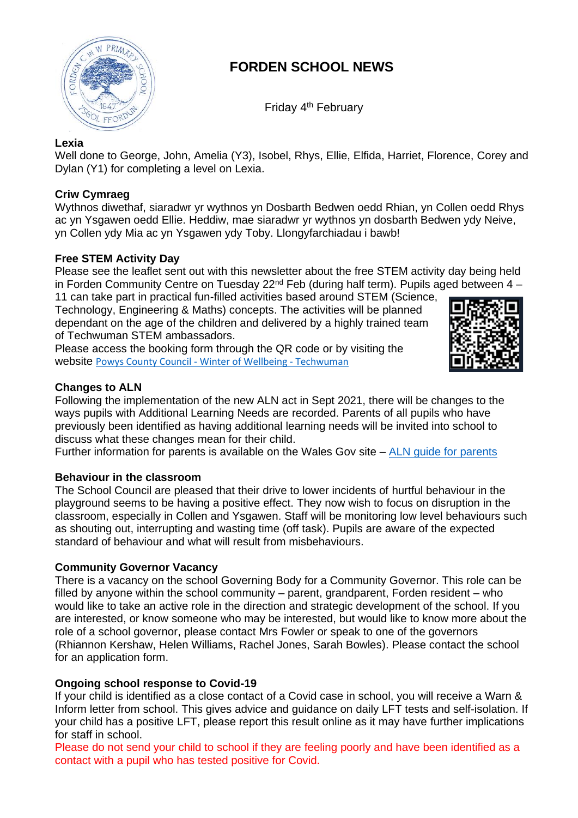

# **FORDEN SCHOOL NEWS**

Friday 4<sup>th</sup> February

## **Lexia**

Well done to George, John, Amelia (Y3), Isobel, Rhys, Ellie, Elfida, Harriet, Florence, Corey and Dylan (Y1) for completing a level on Lexia.

# **Criw Cymraeg**

Wythnos diwethaf, siaradwr yr wythnos yn Dosbarth Bedwen oedd Rhian, yn Collen oedd Rhys ac yn Ysgawen oedd Ellie. Heddiw, mae siaradwr yr wythnos yn dosbarth Bedwen ydy Neive, yn Collen ydy Mia ac yn Ysgawen ydy Toby. Llongyfarchiadau i bawb!

## **Free STEM Activity Day**

Please see the leaflet sent out with this newsletter about the free STEM activity day being held in Forden Community Centre on Tuesday  $22<sup>nd</sup>$  Feb (during half term). Pupils aged between 4 – 11 can take part in practical fun-filled activities based around STEM (Science,

Technology, Engineering & Maths) concepts. The activities will be planned dependant on the age of the children and delivered by a highly trained team of Techwuman STEM ambassadors.

Please access the booking form through the QR code or by visiting the website [Powys County Council -](http://www.techwuman.co.uk/winter-of-wellbeing/) Winter of Wellbeing - Techwuman



## **Changes to ALN**

Following the implementation of the new ALN act in Sept 2021, there will be changes to the ways pupils with Additional Learning Needs are recorded. Parents of all pupils who have previously been identified as having additional learning needs will be invited into school to discuss what these changes mean for their child.

Further information for parents is available on the Wales Gov site – [ALN guide for parents](https://gov.wales/additional-learning-needs-aln-system-parents-guide-html)

## **Behaviour in the classroom**

The School Council are pleased that their drive to lower incidents of hurtful behaviour in the playground seems to be having a positive effect. They now wish to focus on disruption in the classroom, especially in Collen and Ysgawen. Staff will be monitoring low level behaviours such as shouting out, interrupting and wasting time (off task). Pupils are aware of the expected standard of behaviour and what will result from misbehaviours.

## **Community Governor Vacancy**

There is a vacancy on the school Governing Body for a Community Governor. This role can be filled by anyone within the school community – parent, grandparent, Forden resident – who would like to take an active role in the direction and strategic development of the school. If you are interested, or know someone who may be interested, but would like to know more about the role of a school governor, please contact Mrs Fowler or speak to one of the governors (Rhiannon Kershaw, Helen Williams, Rachel Jones, Sarah Bowles). Please contact the school for an application form.

## **Ongoing school response to Covid-19**

If your child is identified as a close contact of a Covid case in school, you will receive a Warn & Inform letter from school. This gives advice and guidance on daily LFT tests and self-isolation. If your child has a positive LFT, please report this result online as it may have further implications for staff in school.

Please do not send your child to school if they are feeling poorly and have been identified as a contact with a pupil who has tested positive for Covid.